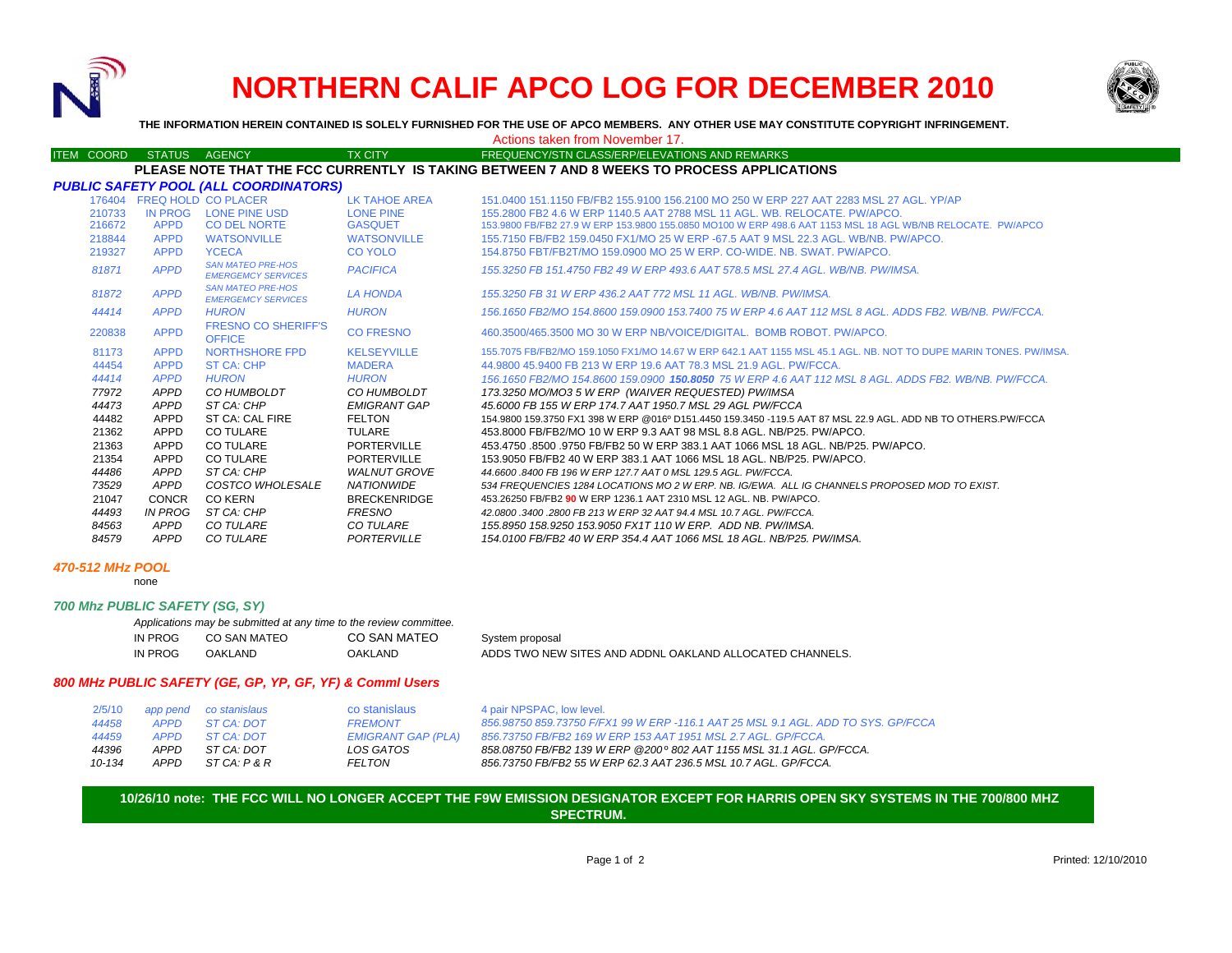

# **NORTHERN CALIF APCO LOG FOR DECEMBER 2010**



**THE INFORMATION HEREIN CONTAINED IS SOLELY FURNISHED FOR THE USE OF APCO MEMBERS. ANY OTHER USE MAY CONSTITUTE COPYRIGHT INFRINGEMENT.**

### Actions taken from November 17.

#### ITEM COORD STATUS AGENCY TX CITY TIREQUENCY/STN CLASS/ERP/ELEVATIONS AND REMARKS **8 WEEKS TO PROCESS APPLICATIONS**

|        |             |                                                       |                    | PLEASE NOTE THAT THE FCC CURRENTLY IS TAKING BETWEEN 7 AND 8 WEEKS TO PROCESS APPLICATIONS                 |
|--------|-------------|-------------------------------------------------------|--------------------|------------------------------------------------------------------------------------------------------------|
|        |             | <b>PUBLIC SAFETY POOL (ALL COORDINATORS)</b>          |                    |                                                                                                            |
|        |             | 176404 FREQ HOLD CO PLACER                            | LK TAHOE AREA      | 151.0400 151.1150 FB/FB2 155.9100 156.2100 MO 250 W ERP 227 AAT 2283 MSL 27 AGL, YP/AP                     |
| 210733 | IN PROG     | LONE PINE USD                                         | <b>LONE PINE</b>   | 155,2800 FB2 4.6 W ERP 1140.5 AAT 2788 MSL 11 AGL, WB, RELOCATE, PW/APCO,                                  |
| 216672 | <b>APPD</b> | <b>CO DEL NORTE</b>                                   | <b>GASQUET</b>     | 153.9800 FB/FB2 27.9 W ERP 153.9800 155.0850 MO100 W ERP 498.6 AAT 1153 MSL 18 AGL WB/NB RELOCATE. PW/APCO |
| 218844 | <b>APPD</b> | <b>WATSONVILLE</b>                                    | <b>WATSONVILLE</b> | 155.7150 FB/FB2 159.0450 FX1/MO 25 W ERP -67.5 AAT 9 MSL 22.3 AGL, WB/NB, PW/APCO,                         |
| 219327 | <b>APPD</b> | <b>YCECA</b>                                          | CO YOLO            | 154.8750 FBT/FB2T/MO 159.0900 MO 25 W ERP, CO-WIDE, NB, SWAT, PW/APCO,                                     |
| 81871  | <b>APPD</b> | <b>SAN MATEO PRE-HOS</b><br><b>EMERGEMCY SERVICES</b> | <b>PACIFICA</b>    | 155.3250 FB 151.4750 FB2 49 W ERP 493.6 AAT 578.5 MSL 27.4 AGL, WB/NB, PW/IMSA,                            |
| 81872  | <b>APPD</b> | <b>SAN MATEO PRE-HOS</b><br><b>EMERGEMCY SERVICES</b> | <b>LA HONDA</b>    | 155.3250 FB 31 W ERP 436.2 AAT 772 MSL 11 AGL, WB/NB, PW/IMSA,                                             |
| 44414  | APPD.       | HURON<br>EDECNIA CA CUEDIEEIC                         | <b>HURON</b>       | 156.1650 FB2/MO 154.8600 159.0900 153.7400 75 W ERP 4.6 AAT 112 MSL 8 AGL. ADDS FB2. WB/NB. PW/FCCA.       |

| 44414  | <b>APPD</b>  | <b>HURON</b>                                | <b>HURON</b>        | .156.1650 FB2/MO 154.8600 159.0900 153.7400 75 W ERP 4.6 AAT 112 MSL 8 AGL. ADDS FB2. WB/NB. PW/FCCA             |
|--------|--------------|---------------------------------------------|---------------------|------------------------------------------------------------------------------------------------------------------|
| 220838 | <b>APPD</b>  | <b>FRESNO CO SHERIFF'S</b><br><b>OFFICE</b> | <b>CO FRESNO</b>    | 460.3500/465.3500 MO 30 W ERP NB/VOICE/DIGITAL BOMB ROBOT PW/APCO.                                               |
| 81173  | <b>APPD</b>  | NORTHSHORE FPD                              | <b>KELSEYVILLE</b>  | 155.7075 FB/FB2/MO 159.1050 FX1/MO 14.67 W ERP 642.1 AAT 1155 MSL 45.1 AGL. NB. NOT TO DUPE MARIN TONES. PW/IMSA |
| 44454  | <b>APPD</b>  | ST CA: CHP                                  | <b>MADERA</b>       | 44.9800 45.9400 FB 213 W ERP 19.6 AAT 78.3 MSL 21.9 AGL, PW/FCCA.                                                |
| 44414  | <b>APPD</b>  | <b>HURON</b>                                | <b>HURON</b>        | 156.1650 FB2/MO 154.8600 159.0900 150.8050 75 W ERP 4.6 AAT 112 MSL 8 AGL. ADDS FB2. WB/NB. PW/FCCA.             |
| 77972  | APPD         | CO HUMBOLDT                                 | CO HUMBOLDT         | 173.3250 MO/MO3 5 W ERP (WAIVER REQUESTED) PW/IMSA                                                               |
| 44473  | APPD         | ST CA: CHP                                  | EMIGRANT GAP        | 45,6000 FB 155 W ERP 174,7 AAT 1950.7 MSL 29 AGL PW/FCCA                                                         |
| 44482  | APPD         | ST CA: CAL FIRE                             | <b>FELTON</b>       | 154.9800 159.3750 FX1 398 W ERP @016º D151.4450 159.3450 -119.5 AAT 87 MSL 22.9 AGL. ADD NB TO OTHERS.PW/FCCA    |
| 21362  | <b>APPD</b>  | CO TULARE                                   | TULARE              | 453,8000 FB/FB2/MO 10 W ERP 9.3 AAT 98 MSL 8.8 AGL, NB/P25, PW/APCO,                                             |
| 21363  | APPD         | <b>CO TULARE</b>                            | <b>PORTERVILLE</b>  | 453.4750 .8500 .9750 FB/FB2 50 W ERP 383.1 AAT 1066 MSL 18 AGL, NB/P25, PW/APCO,                                 |
| 21354  | APPD         | CO TULARE                                   | <b>PORTERVILLE</b>  | 153,9050 FB/FB2 40 W ERP 383.1 AAT 1066 MSL 18 AGL, NB/P25, PW/APCO.                                             |
| 44486  | APPD         | ST CA: CHP                                  | <b>WALNUT GROVE</b> | 44.6600 .8400 FB 196 W ERP 127.7 AAT 0 MSL 129.5 AGL. PW/FCCA.                                                   |
| 73529  | <b>APPD</b>  | <i>COSTCO WHOLESALE</i>                     | <b>NATIONWIDE</b>   | 534 FREQUENCIES 1284 LOCATIONS MO 2 W ERP. NB. IG/EWA. ALL IG CHANNELS PROPOSED MOD TO EXIST.                    |
| 21047  | <b>CONCR</b> | CO KERN                                     | <b>BRECKENRIDGE</b> | 453.26250 FB/FB2 90 W ERP 1236.1 AAT 2310 MSL 12 AGL. NB. PW/APCO.                                               |
| 44493  | IN PROG      | ST CA: CHP                                  | FRESNO              | 42.0800.3400.2800 FB 213 W ERP 32 AAT 94.4 MSL 10.7 AGL. PW/FCCA.                                                |
| 84563  | APPD         | <b>CO TULARE</b>                            | <i>CO TULARE</i>    | 155.8950 158.9250 153.9050 FX1T 110 W ERP. ADD NB. PW/IMSA.                                                      |
| 84579  | <b>APPD</b>  | <b>CO TULARE</b>                            | PORTERVILLE         | 154.0100 FB/FB2 40 W ERP 354.4 AAT 1066 MSL 18 AGL. NB/P25. PW/IMSA.                                             |

#### *470-512 MHz POOL*

none

#### *700 Mhz PUBLIC SAFETY (SG, SY)*

|         | Applications may be submitted at any time to the review committee. |              |                                                          |
|---------|--------------------------------------------------------------------|--------------|----------------------------------------------------------|
| IN PROG | CO SAN MATEO                                                       | CO SAN MATEO | System proposal                                          |
| IN PROG | OAKLAND                                                            | OAKLAND      | ADDS TWO NEW SITES AND ADDNL OAKLAND ALLOCATED CHANNELS. |

## *800 MHz PUBLIC SAFETY (GE, GP, YP, GF, YF) & Comml Users*

| 2/5/10 |             | app pend co stanislaus | co stanislaus             | 4 pair NPSPAC, low level.                                                         |
|--------|-------------|------------------------|---------------------------|-----------------------------------------------------------------------------------|
| 44458  |             | APPD ST CA DOT         | <b>FREMONT</b>            | 856.98750 859.73750 F/FX1 99 W ERP -116.1 AAT 25 MSL 9.1 AGL. ADD TO SYS. GP/FCCA |
| 44459  | <b>APPD</b> | $STCA \cdot DOT$       | <b>EMIGRANT GAP (PLA)</b> | 856.73750 FB/FB2 169 W ERP 153 AAT 1951 MSL 2.7 AGL. GP/FCCA.                     |
| 44396  | <b>APPD</b> | ST CA: DOT             | LOS GATOS                 | 858.08750 FB/FB2 139 W ERP @200° 802 AAT 1155 MSL 31.1 AGL. GP/FCCA.              |
| 10-134 | APPD        | ST CA: P & R           | FELTON                    | 856.73750 FB/FB2 55 W ERP 62.3 AAT 236.5 MSL 10.7 AGL. GP/FCCA.                   |

## **10/26/10 note: THE FCC WILL NO LONGER ACCEPT THE F9W EMISSION DESIGNATOR EXCEPT FOR HARRIS OPEN SKY SYSTEMS IN THE 700/800 MHZSPECTRUM.**